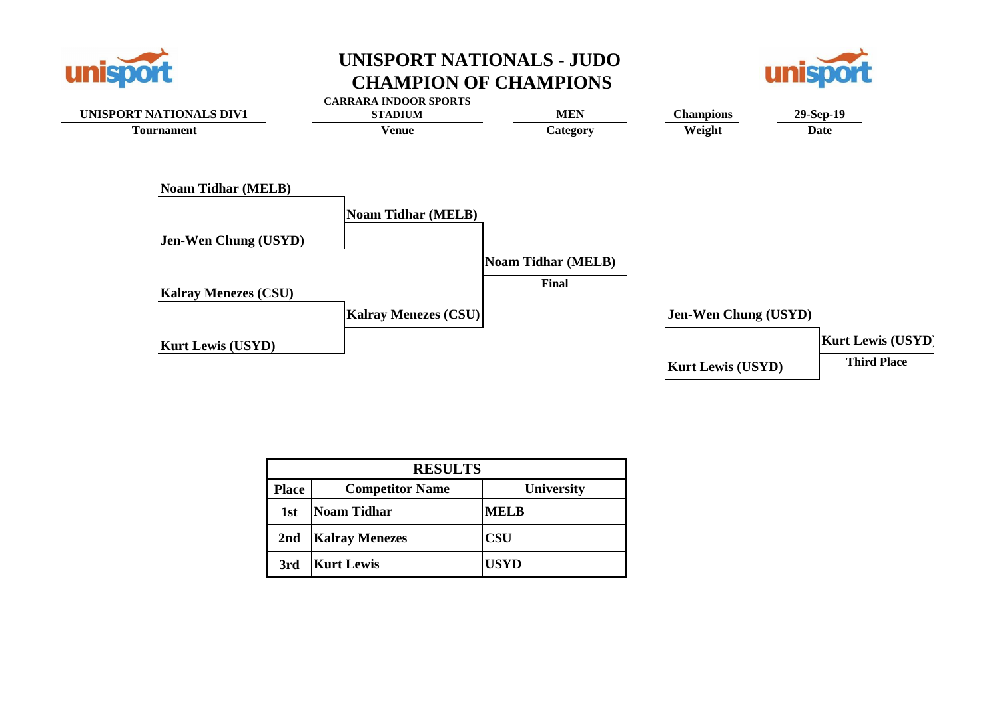

### **UNISPORT NATIONALS - JUDO CHAMPION OF CHAMPIONS**





|              | <b>RESULTS</b>         |                   |  |  |  |  |  |  |  |  |  |  |
|--------------|------------------------|-------------------|--|--|--|--|--|--|--|--|--|--|
| <b>Place</b> | <b>Competitor Name</b> | <b>University</b> |  |  |  |  |  |  |  |  |  |  |
| 1st          | <b>Noam Tidhar</b>     | <b>MELB</b>       |  |  |  |  |  |  |  |  |  |  |
| 2nd          | <b>Kalray Menezes</b>  | <b>CSU</b>        |  |  |  |  |  |  |  |  |  |  |
| 3rd          | <b>Kurt Lewis</b>      | <b>USYD</b>       |  |  |  |  |  |  |  |  |  |  |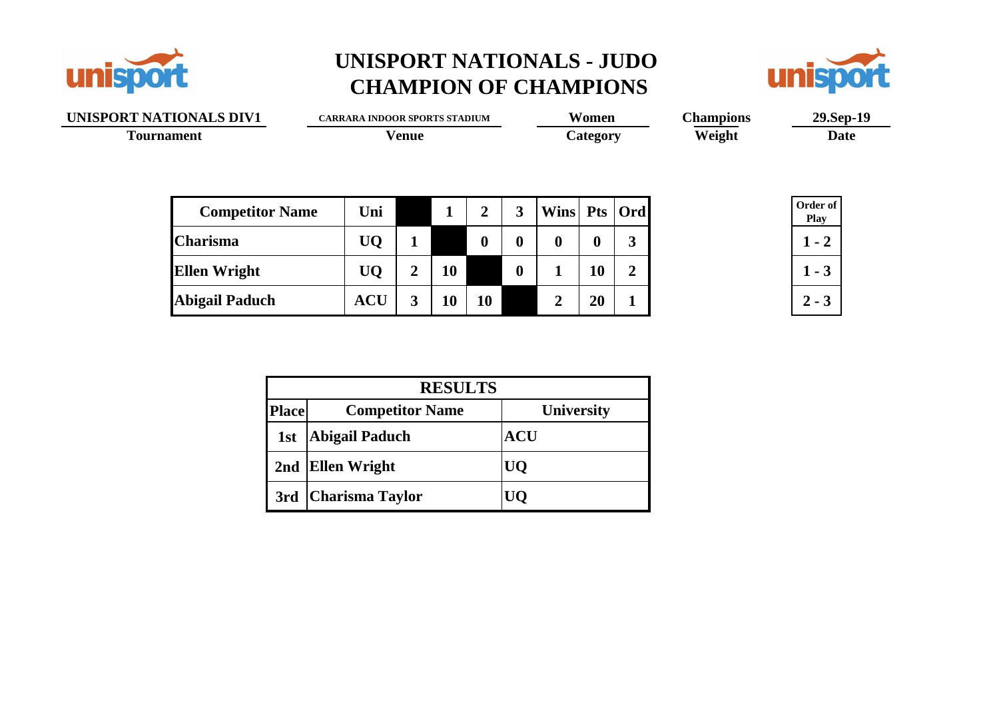

# **UNISPORT NATIONALS - JUDO CHAMPION OF CHAMPIONS**



|                   | UNISPORT NATIONALS DIV1 |            |                | <b>CARRARA INDOOR SPORTS STADIUM</b> |                |                  |              | Women            |                | <b>Champions</b> | 29.Sep-19               |  |  |  |
|-------------------|-------------------------|------------|----------------|--------------------------------------|----------------|------------------|--------------|------------------|----------------|------------------|-------------------------|--|--|--|
| <b>Tournament</b> |                         |            | <b>Venue</b>   |                                      |                |                  |              | Category         |                | Weight           | Date                    |  |  |  |
|                   |                         |            |                |                                      |                |                  |              |                  |                |                  |                         |  |  |  |
|                   | <b>Competitor Name</b>  | Uni        |                |                                      | $\overline{2}$ | $\mathbf{3}$     | Wins Pts Ord |                  |                |                  | Order of<br><b>Play</b> |  |  |  |
|                   | <b>Charisma</b>         | <b>UQ</b>  |                |                                      | $\bf{0}$       | $\bf{0}$         | $\bf{0}$     | $\boldsymbol{0}$ | 3              |                  | $1 - 2$                 |  |  |  |
|                   | <b>Ellen Wright</b>     | <b>UQ</b>  | $\overline{2}$ | <b>10</b>                            |                | $\boldsymbol{0}$ |              | <b>10</b>        | $\overline{2}$ |                  | $1 - 3$                 |  |  |  |
|                   | <b>Abigail Paduch</b>   | <b>ACU</b> | 3              | <b>10</b>                            | 10             |                  | 2            | 20               | $\mathbf 1$    |                  | $2 - 3$                 |  |  |  |
|                   |                         |            |                |                                      |                |                  |              |                  |                |                  |                         |  |  |  |
|                   |                         |            |                |                                      |                |                  |              |                  |                |                  |                         |  |  |  |

|              | <b>RESULTS</b>         |                   |  |  |  |  |  |  |  |  |  |
|--------------|------------------------|-------------------|--|--|--|--|--|--|--|--|--|
| <b>Place</b> | <b>Competitor Name</b> | <b>University</b> |  |  |  |  |  |  |  |  |  |
| 1st          | <b>Abigail Paduch</b>  | <b>ACU</b>        |  |  |  |  |  |  |  |  |  |
|              | 2nd Ellen Wright       | UQ                |  |  |  |  |  |  |  |  |  |
|              | 3rd   Charisma Taylor  |                   |  |  |  |  |  |  |  |  |  |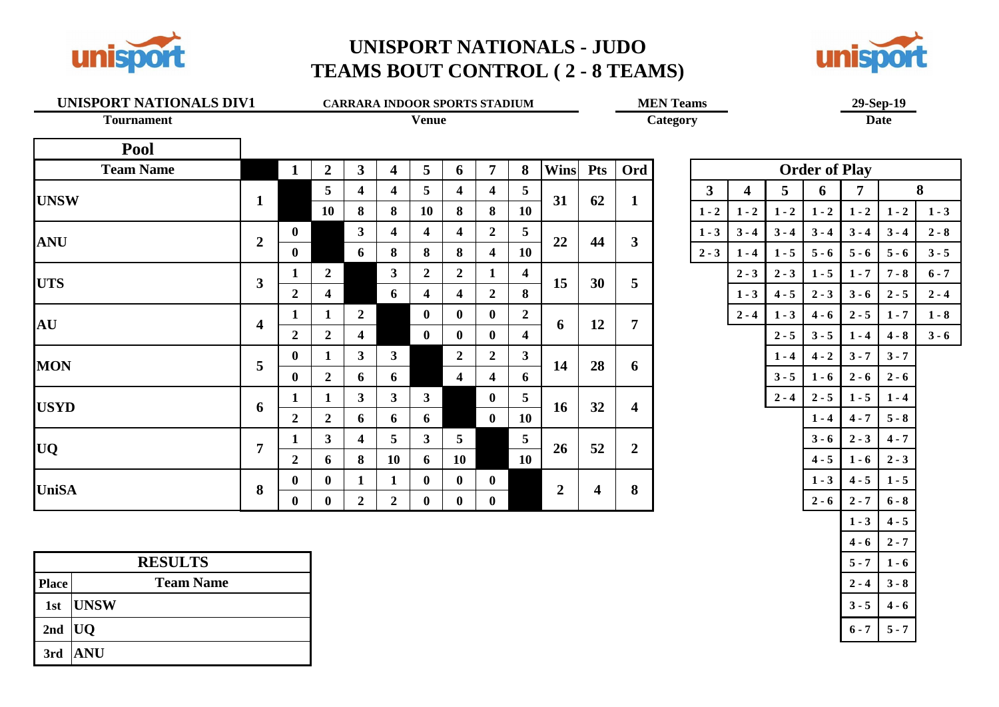

### **UNISPORT NATIONALS - JUDO TEAMS BOUT CONTROL ( 2 - 8 TEAMS)**



# **UNISPORT NATIONALS DIV1 CARRARA INDOOR SPORTS STADIUM MEN Teams 29-Sep-19**<br> **Category Date**



**Tournament Venue Category Date**

| Pool             |                         |                |                |                         |                         |                |                         |                         |                |                |            |                         |         |         |         |                      |            |                 |         |
|------------------|-------------------------|----------------|----------------|-------------------------|-------------------------|----------------|-------------------------|-------------------------|----------------|----------------|------------|-------------------------|---------|---------|---------|----------------------|------------|-----------------|---------|
| <b>Team Name</b> |                         | $\mathbf{1}$   | $\overline{2}$ | $\mathbf{3}$            | $\overline{\mathbf{4}}$ | 5              | 6                       | $\overline{7}$          | 8              | <b>Wins</b>    | <b>Pts</b> | Ord                     |         |         |         | <b>Order of Play</b> |            |                 |         |
|                  |                         |                | 5              | 4                       | $\overline{4}$          | 5 <sup>5</sup> | $\overline{\mathbf{4}}$ | 4                       | 5              | 31             | 62         |                         | 3       | 4       | 5       | 6                    | 7          |                 | 8       |
| <b>UNSW</b>      | 1                       |                | 10             | 8                       | 8                       | 10             | 8                       | 8                       | 10             |                |            | $\mathbf{1}$            | $1 - 2$ | $1 - 2$ | $1 - 2$ | $1 - 2$              | $1 - 2$    | $1 - 2$         | $1 - 3$ |
| <b>ANU</b>       | $\overline{2}$          | $\bf{0}$       |                | $\mathbf{3}$            | 4                       | 4              | $\overline{\mathbf{4}}$ | $\overline{2}$          | 5              | 22             | 44         | $\mathbf{3}$            | $1 - 3$ | $3 - 4$ | $3 - 4$ | $3 - 4$              | $3 - 4$    | $3 - 4$         | $2 - 8$ |
|                  |                         | $\bf{0}$       |                | 6                       | 8                       | 8              | 8                       | $\overline{4}$          | 10             |                |            |                         | $2 - 3$ | $1 - 4$ | $1 - 5$ | $5 - 6$              | $5 - 6$    | $5 - 6$         | $3 - 5$ |
| <b>UTS</b>       | 3                       | $\mathbf{1}$   | $\overline{2}$ |                         | 3 <sup>1</sup>          | $\overline{2}$ | $\boldsymbol{2}$        |                         | 4              | 15             | 30         | 5                       |         | $2 - 3$ | $2 - 3$ | $1 - 5$              | $1 - 7$    | $7 - 8$         | $6 - 7$ |
|                  |                         | $\overline{2}$ | 4              |                         | 6                       | 4              | $\overline{\mathbf{4}}$ | $\overline{2}$          | 8              |                |            |                         |         | $1 - 3$ | $4 - 5$ | $2 - 3$              | $3 - 6$    | $2 - 5$         | $2 - 4$ |
| AU               | $\overline{\mathbf{4}}$ | 1              |                | $\overline{2}$          |                         | $\mathbf{0}$   | $\mathbf{0}$            | $\mathbf{0}$            | $\mathbf{2}$   | 6              | 12         | $\overline{7}$          |         | $2 - 4$ | $1 - 3$ | $4 - 6$              | $2 - 5$    | $1 - 7$         | $1 - 8$ |
|                  |                         | $\overline{2}$ | $\overline{2}$ | $\overline{\mathbf{4}}$ |                         | $\mathbf{0}$   | $\mathbf{0}$            | $\mathbf{0}$            | 4              |                |            |                         |         |         | $2 - 5$ | $3 - 5$              | $1 - 4$    | $4 - 8$         | $3 - 6$ |
|                  | 5                       | $\mathbf{0}$   |                | $\mathbf{3}$            | 3                       |                | $\boldsymbol{2}$        | $\overline{2}$          | 3 <sup>1</sup> | 14             | 28         | 6                       |         |         | $1 - 4$ | $4 - 2$              | $3 - 7$    | $3 - 7$         |         |
| <b>MON</b>       |                         | $\mathbf{0}$   | $\overline{2}$ | 6                       | 6                       |                | $\overline{\mathbf{4}}$ | $\overline{\mathbf{4}}$ | 6              |                |            |                         |         |         | $3 - 5$ | $1 - 6$              | $2 - 6$    | $2 - 6$         |         |
| <b>USYD</b>      |                         | 1              |                | $\mathbf{3}$            | 3 <sup>1</sup>          | $\mathbf{3}$   |                         | $\mathbf{0}$            | 5              | 16             | 32         | $\overline{\mathbf{4}}$ |         |         | $2 - 4$ | $2 - 5$              | $1 - 5$    | $1 - 4$         |         |
|                  | 6                       | $\overline{2}$ | $\overline{2}$ | 6                       | 6                       | 6              |                         | $\mathbf{0}$            | 10             |                |            |                         |         |         |         | $1 - 4$              | $4 - 7$    | $5 - 8$         |         |
|                  | 7                       | 1              | 3 <sup>1</sup> | $\boldsymbol{4}$        | $\overline{5}$          | 3 <sup>1</sup> | 5                       |                         | 5 <sup>5</sup> | 26             | 52         | $\overline{2}$          |         |         |         | $3 - 6$              | $2 - 3$    | $4 - 7$         |         |
| <b>UQ</b>        |                         | $\overline{2}$ | 6              | 8                       | 10                      | 6              | <b>10</b>               |                         | 10             |                |            |                         |         |         |         | $4 - 5$              | $1 - 6$    | $2 - 3$         |         |
|                  |                         | $\bf{0}$       | $\bf{0}$       | $\mathbf{1}$            | 1                       | $\mathbf{0}$   | $\mathbf 0$             | $\mathbf{0}$            |                |                |            |                         |         |         |         | $1 - 3$              | $4 - 5$    | $1 - 5$         |         |
| <b>UniSA</b>     | 8                       | $\sim$         | $\sim$         |                         |                         | $\sim$         | $\sim$                  | $\sim$                  |                | $\overline{2}$ | 4          | 8                       |         |         |         | <b>Sales Street</b>  | $\sim$ $-$ | <b>San Adam</b> |         |

| 1                       | $\boldsymbol{2}$        | 3                       | $\overline{\mathbf{4}}$ | 5                       | 6                       | $\overline{7}$          | 8                       | <b>Wins</b>      | <b>Pts</b>              | Ord                     |         |                         |         | <b>Order of Play</b> |                |         |         |
|-------------------------|-------------------------|-------------------------|-------------------------|-------------------------|-------------------------|-------------------------|-------------------------|------------------|-------------------------|-------------------------|---------|-------------------------|---------|----------------------|----------------|---------|---------|
|                         | 5                       | $\overline{\mathbf{4}}$ | $\overline{\mathbf{4}}$ | 5                       | $\overline{\mathbf{4}}$ | $\overline{\mathbf{4}}$ | 5                       | 31               | 62                      | $\mathbf{1}$            | 3       | $\overline{\mathbf{4}}$ | 5       | 6                    | $\overline{7}$ |         | 8       |
|                         | 10                      | 8                       | 8                       | 10                      | 8                       | 8                       | 10                      |                  |                         |                         | $1 - 2$ | $1 - 2$                 | $1 - 2$ | $1 - 2$              | $1 - 2$        | $1 - 2$ | $1 - 3$ |
| 0                       |                         | $\mathbf{3}$            | $\overline{\mathbf{4}}$ | $\overline{\mathbf{4}}$ | $\overline{\mathbf{4}}$ | $\overline{2}$          | 5                       |                  | 44                      | $\overline{\mathbf{3}}$ | $1 - 3$ | $3 - 4$                 | $3 - 4$ | $3 - 4$              | $3 - 4$        | $3 - 4$ | $2 - 8$ |
| 0                       |                         | 6                       | 8                       | 8                       | 8                       | $\overline{\mathbf{4}}$ | 10                      | 22               |                         |                         | $2 - 3$ | $1 - 4$                 | $1 - 5$ | $5 - 6$              | $5 - 6$        | $5 - 6$ | $3 - 5$ |
| $\mathbf{1}$            | $\overline{2}$          |                         | $\overline{\mathbf{3}}$ | $\overline{2}$          | $\overline{2}$          | $\mathbf{1}$            | $\overline{\mathbf{4}}$ | 15               | 30                      | $5\overline{)}$         |         | $2 - 3$                 | $2 - 3$ | $1 - 5$              | $1 - 7$        | $7 - 8$ | $6 - 7$ |
| $\overline{\mathbf{c}}$ | $\overline{\mathbf{4}}$ |                         | 6                       | $\overline{\mathbf{4}}$ | $\overline{\mathbf{4}}$ | $\overline{2}$          | 8                       |                  |                         |                         |         | $1 - 3$                 | $4 - 5$ | $2 - 3$              | $3 - 6$        | $2 - 5$ | $2 - 4$ |
| 1                       | $\mathbf{1}$            | $\overline{2}$          |                         | $\bf{0}$                | $\bf{0}$                | $\boldsymbol{0}$        | $\boldsymbol{2}$        |                  |                         | $\overline{7}$          |         | $2 - 4$                 | $1 - 3$ | $4 - 6$              | $2 - 5$        | $1 - 7$ | $1 - 8$ |
| $\overline{\mathbf{c}}$ | $\overline{2}$          | $\overline{\mathbf{4}}$ |                         | $\bf{0}$                | $\bf{0}$                | $\bf{0}$                | $\overline{\mathbf{4}}$ | 6                | 12                      |                         |         |                         | $2 - 5$ | $3 - 5$              | $1 - 4$        | $4 - 8$ | $3 - 6$ |
| 0                       | $\mathbf{1}$            | 3 <sup>1</sup>          | $\mathbf{3}$            |                         | $\overline{2}$          | $\overline{2}$          | $\overline{\mathbf{3}}$ |                  |                         |                         |         |                         | $1 - 4$ | $4 - 2$              | $3 - 7$        | $3 - 7$ |         |
| 0                       | $\boldsymbol{2}$        | 6                       | 6                       |                         | $\overline{\mathbf{4}}$ | $\overline{\mathbf{4}}$ | 6                       | 14               | 28                      | 6                       |         |                         | $3 - 5$ | $1 - 6$              | $2 - 6$        | $2 - 6$ |         |
| $\mathbf{1}$            | $\mathbf{1}$            | $\overline{3}$          | $\overline{3}$          | $\overline{3}$          |                         | $\bf{0}$                | 5                       |                  |                         |                         |         |                         | $2 - 4$ | $2 - 5$              | $1 - 5$        | $1 - 4$ |         |
| $\overline{\mathbf{c}}$ | $\overline{2}$          | 6                       | 6                       | 6                       |                         | $\bf{0}$                | 10                      | 16               | 32                      | $\overline{\mathbf{4}}$ |         |                         |         | $1 - 4$              | $4 - 7$        | $5 - 8$ |         |
| 1                       | 3 <sup>1</sup>          | $\overline{\mathbf{4}}$ | 5                       | $\overline{\mathbf{3}}$ | 5                       |                         | 5                       |                  |                         |                         |         |                         |         | $3 - 6$              | $2 - 3$        | $4 - 7$ |         |
| $\overline{\mathbf{c}}$ | 6                       | 8                       | 10                      | 6                       | 10                      |                         | 10                      | 26               | 52                      | $\overline{2}$          |         |                         |         | $4 - 5$              | $1 - 6$        | $2 - 3$ |         |
| 0                       | $\bf{0}$                | $\mathbf{1}$            | $\mathbf{1}$            | $\bf{0}$                | $\bf{0}$                | $\bf{0}$                |                         |                  |                         |                         |         |                         |         | $1 - 3$              | $4 - 5$        | $1 - 5$ |         |
| 0                       | $\bf{0}$                | $\overline{2}$          | $\overline{2}$          | $\bf{0}$                | $\boldsymbol{0}$        | $\boldsymbol{0}$        |                         | $\boldsymbol{2}$ | $\overline{\mathbf{4}}$ | 8                       |         |                         |         | $2 - 6$              | $2 - 7$        | $6 - 8$ |         |
|                         |                         |                         |                         |                         |                         |                         |                         |                  |                         |                         |         |                         |         |                      | $1 - 3$        | $4 - 5$ |         |
|                         |                         |                         |                         |                         |                         |                         |                         |                  |                         |                         |         |                         |         |                      | $4 - 6$        | $2 - 7$ |         |
|                         |                         |                         |                         |                         |                         |                         |                         |                  |                         |                         |         |                         |         |                      | $5 - 7$        | $1 - 6$ |         |
|                         |                         |                         |                         |                         |                         |                         |                         |                  |                         |                         |         |                         |         |                      | $2 - 4$        | $3 - 8$ |         |
|                         |                         |                         |                         |                         |                         |                         |                         |                  |                         |                         |         |                         |         |                      | $3 - 5$        | $4 - 6$ |         |
|                         |                         |                         |                         |                         |                         |                         |                         |                  |                         |                         |         |                         |         |                      | $6 - 7$        | $5 - 7$ |         |
|                         |                         |                         |                         |                         |                         |                         |                         |                  |                         |                         |         |                         |         |                      |                |         |         |

|              | <b>RESULTS</b>    |
|--------------|-------------------|
| <b>Place</b> | <b>Team Name</b>  |
|              | 1st UNSW          |
| 2nd $UQ$     |                   |
|              | $3rd$ $\vert$ ANU |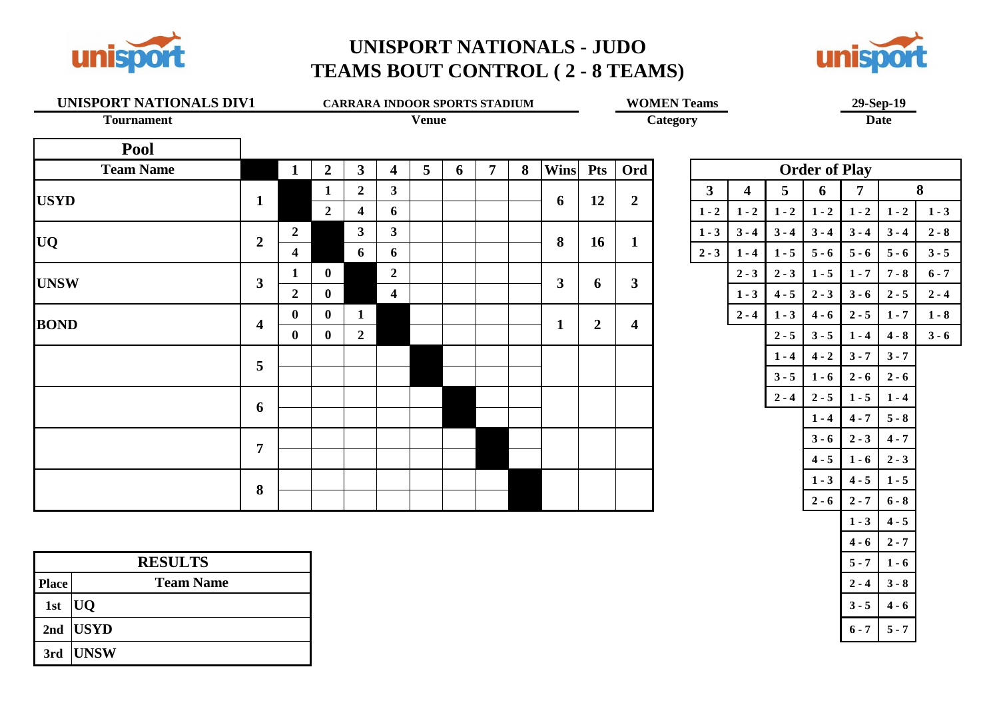

### **UNISPORT NATIONALS - JUDO TEAMS BOUT CONTROL ( 2 - 8 TEAMS)**



# **UNISPORT NATIONALS DIV1 CARRARA INDOOR SPORTS STADIUM WOMEN Teams 29-Sep-19 29-Sep-19 Date**

**Tournament Venue Category Date**

| ĺ<br>n<br>m<br>ı |
|------------------|
|                  |

| Pool             |                  |                  |                |                |                         |                |   |                |   |             |                |                         |                      |         |         |         |                 |         |         |
|------------------|------------------|------------------|----------------|----------------|-------------------------|----------------|---|----------------|---|-------------|----------------|-------------------------|----------------------|---------|---------|---------|-----------------|---------|---------|
| <b>Team Name</b> |                  | 1                | $\overline{2}$ | $3^{\circ}$    | 4                       | 5 <sup>5</sup> | 6 | $\overline{7}$ | 8 | <b>Wins</b> | <b>Pts</b>     | Ord                     | <b>Order of Play</b> |         |         |         |                 |         |         |
|                  |                  |                  | 1              | $\overline{2}$ | $\mathbf{3}$            |                |   |                |   |             | 12             | $\overline{2}$          | $\mathbf{3}$         | 4       | 5       | 6       | $\overline{7}$  | 8       |         |
| <b>USYD</b>      | $\mathbf{1}$     |                  | $\overline{2}$ | 4              | 6                       |                |   |                |   | 6           |                |                         | $1 - 2$              | $1 - 2$ | $1 - 2$ | $1 - 2$ | $1 - 2$         | $1 - 2$ | $1 - 3$ |
|                  | $\overline{2}$   | $\boldsymbol{2}$ |                | $\mathbf{3}$   | $\mathbf{3}$            |                |   |                |   | 8           | 16             | $\mathbf{1}$            | $1 - 3$              | $3 - 4$ | $3 - 4$ | $3 - 4$ | $3 - 4$         | $3 - 4$ | $2 - 8$ |
| <b>UQ</b>        |                  | $\overline{4}$   |                | 6              | 6                       |                |   |                |   |             |                |                         | $2 - 3$              | $1 - 4$ | $1 - 5$ | $5 - 6$ | $5 - 6$         | $5 - 6$ | $3 - 5$ |
| <b>UNSW</b>      | $\mathbf{3}$     | 1                | $\bf{0}$       |                | $\overline{2}$          |                |   |                |   | 3           | 6              | $\mathbf{3}$            |                      | $2 - 3$ | $2 - 3$ | $1 - 5$ | $1 - 7$         | $7 - 8$ | $6 - 7$ |
|                  |                  | $\overline{2}$   | $\mathbf{0}$   |                | $\overline{\mathbf{4}}$ |                |   |                |   |             |                |                         |                      | $1 - 3$ | $4 - 5$ | $2 - 3$ | $3 - 6$         | $2 - 5$ | $2 - 4$ |
| <b>BOND</b>      | $\boldsymbol{4}$ | $\bf{0}$         | $\mathbf{0}$   | $\mathbf{1}$   |                         |                |   |                |   | 1           | $\overline{2}$ | $\overline{\mathbf{4}}$ |                      | $2 - 4$ | $1 - 3$ | $4 - 6$ | $2 - 5$         | $1 - 7$ | $1 - 8$ |
|                  |                  | $\mathbf{0}$     | $\bf{0}$       | $\overline{2}$ |                         |                |   |                |   |             |                |                         |                      |         | $2 - 5$ | $3 - 5$ | $1 - 4$         | $4 - 8$ | $3 - 6$ |
|                  | 5                |                  |                |                |                         |                |   |                |   |             |                |                         |                      |         | $1 - 4$ | $4 - 2$ | $3 - 7$         | $3 - 7$ |         |
|                  |                  |                  |                |                |                         |                |   |                |   |             |                |                         |                      |         | $3 - 5$ | $1 - 6$ | $2 - 6$         | $2 - 6$ |         |
|                  | 6                |                  |                |                |                         |                |   |                |   |             |                |                         |                      |         | $2 - 4$ | $2 - 5$ | $1 - 5$         | $1 - 4$ |         |
|                  |                  |                  |                |                |                         |                |   |                |   |             |                |                         |                      |         |         | $1 - 4$ | $4 - 7$         | $5 - 8$ |         |
|                  | $\overline{7}$   |                  |                |                |                         |                |   |                |   |             |                |                         |                      |         |         | $3 - 6$ | $2 - 3$         | $4 - 7$ |         |
|                  |                  |                  |                |                |                         |                |   |                |   |             |                |                         |                      |         |         | $4 - 5$ | $1 - 6$         | $2 - 3$ |         |
|                  |                  |                  |                |                |                         |                |   |                |   |             |                |                         |                      |         |         | $1 - 3$ | $4 - 5$         | $1 - 5$ |         |
|                  | 8                |                  |                |                |                         |                |   |                |   |             |                |                         |                      |         |         |         | $2.6$ $2.7$ 6.8 |         |         |

|              | <b>RESULTS</b>   |
|--------------|------------------|
| <b>Place</b> | <b>Team Name</b> |
| 1st          | UQ               |
|              | 2nd $ USYD $     |
|              | $3rd$ UNSW       |

|                         |         | <b>Order of Play</b> |         |         |         |
|-------------------------|---------|----------------------|---------|---------|---------|
| $\overline{\mathbf{4}}$ | 5       | 6                    | 7       |         | 8       |
| $1 - 2$                 | $1 - 2$ | $1 - 2$              | $1 - 2$ | $1 - 2$ | $1 - 3$ |
| $3 - 4$                 | $3 - 4$ | $3 - 4$              | $3 - 4$ | $3 - 4$ | $2 - 8$ |
| $1 - 4$                 | $1 - 5$ | $5 - 6$              | $5 - 6$ | $5 - 6$ | $3 - 5$ |
| $2 - 3$                 | $2 - 3$ | $1 - 5$              | $1 - 7$ | $7 - 8$ | $6 - 7$ |
| $1 - 3$                 | $4 - 5$ | $2 - 3$              | $3 - 6$ | $2 - 5$ | $2 - 4$ |
| $2 - 4$                 | $1 - 3$ | $4 - 6$              | $2 - 5$ | $1 - 7$ | $1 - 8$ |
|                         | $2 - 5$ | $3 - 5$              | $1 - 4$ | $4 - 8$ | $3 - 6$ |
|                         | $1 - 4$ | $4 - 2$              | $3 - 7$ | $3 - 7$ |         |
|                         | $3 - 5$ | $1 - 6$              | $2 - 6$ | $2 - 6$ |         |
|                         | $2 - 4$ | $2 - 5$              | $1 - 5$ | $1 - 4$ |         |
|                         |         | $1 - 4$              | $4 - 7$ | $5 - 8$ |         |
|                         |         | $3 - 6$              | $2 - 3$ | $4 - 7$ |         |
|                         |         | $4 - 5$              | $1 - 6$ | $2 - 3$ |         |
|                         |         | $1 - 3$              | $4 - 5$ | $1 - 5$ |         |
|                         |         | $2 - 6$              | $2 - 7$ | $6 - 8$ |         |
|                         |         |                      | $1 - 3$ | $4 - 5$ |         |
|                         |         |                      | $4 - 6$ | $2 - 7$ |         |
|                         |         |                      | $5 - 7$ | $1 - 6$ |         |
|                         |         |                      | $2 - 4$ | $3 - 8$ |         |
|                         |         |                      | $3 - 5$ | $4 - 6$ |         |
|                         |         |                      | $6 - 7$ | $5 - 7$ |         |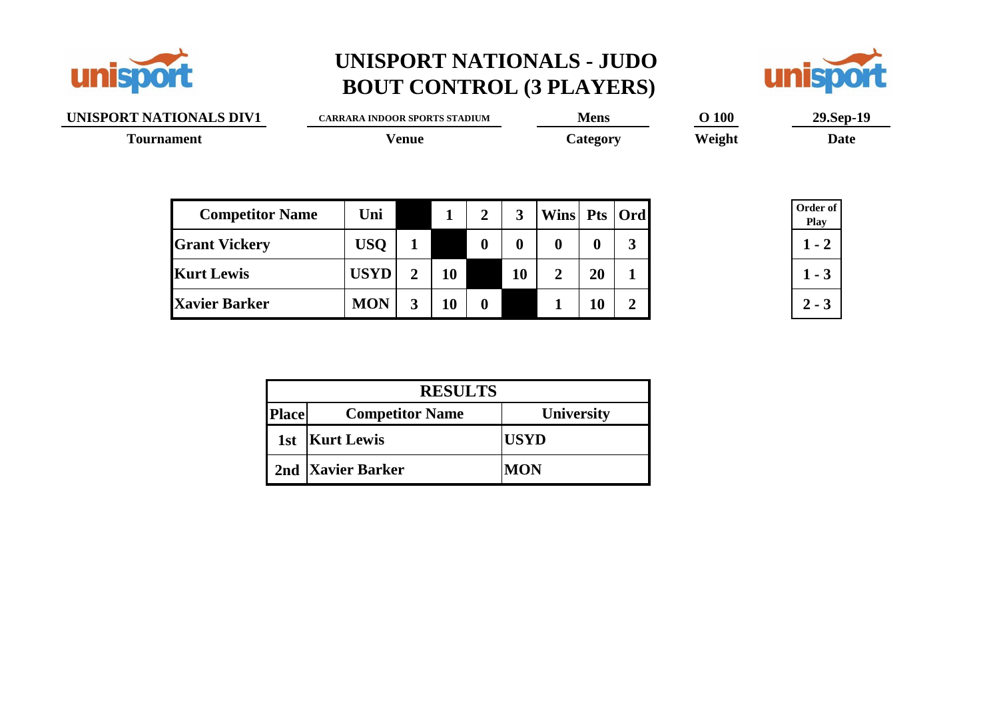



| UNISPORT NATIONALS DIV1 | <b>CARRARA INDOOR SPORTS STADIUM</b> |                |           |                  |          |                  | <b>Mens</b> |                | <b>O</b> 100 | 29.Sep-19               |  |  |
|-------------------------|--------------------------------------|----------------|-----------|------------------|----------|------------------|-------------|----------------|--------------|-------------------------|--|--|
| <b>Tournament</b>       |                                      | <b>Venue</b>   |           |                  |          |                  | Category    |                | Weight       | <b>Date</b>             |  |  |
| <b>Competitor Name</b>  | Uni                                  |                | 1         | $\overline{2}$   | 3        | Wins Pts Ord     |             |                |              | Order of<br><b>Play</b> |  |  |
| <b>Grant Vickery</b>    | <b>USQ</b>                           |                |           | $\boldsymbol{0}$ | $\bf{0}$ | $\boldsymbol{0}$ | 0           | 3              |              | $1 - 2$                 |  |  |
| <b>Kurt Lewis</b>       | <b>USYD</b>                          | $\overline{2}$ | <b>10</b> |                  | 10       | $\overline{2}$   | 20          | 1              |              | $1 - 3$                 |  |  |
| <b>Xavier Barker</b>    | <b>MON</b>                           | 3              | 10        | $\mathbf{0}$     |          |                  | 10          | $\overline{2}$ |              | $2 - 3$                 |  |  |

| <b>RESULTS</b> |                        |                   |  |  |  |  |  |
|----------------|------------------------|-------------------|--|--|--|--|--|
| <b>Place</b>   | <b>Competitor Name</b> | <b>University</b> |  |  |  |  |  |
|                | 1st   Kurt Lewis       | <b>USYD</b>       |  |  |  |  |  |
|                | 2nd Xavier Barker      | <b>MON</b>        |  |  |  |  |  |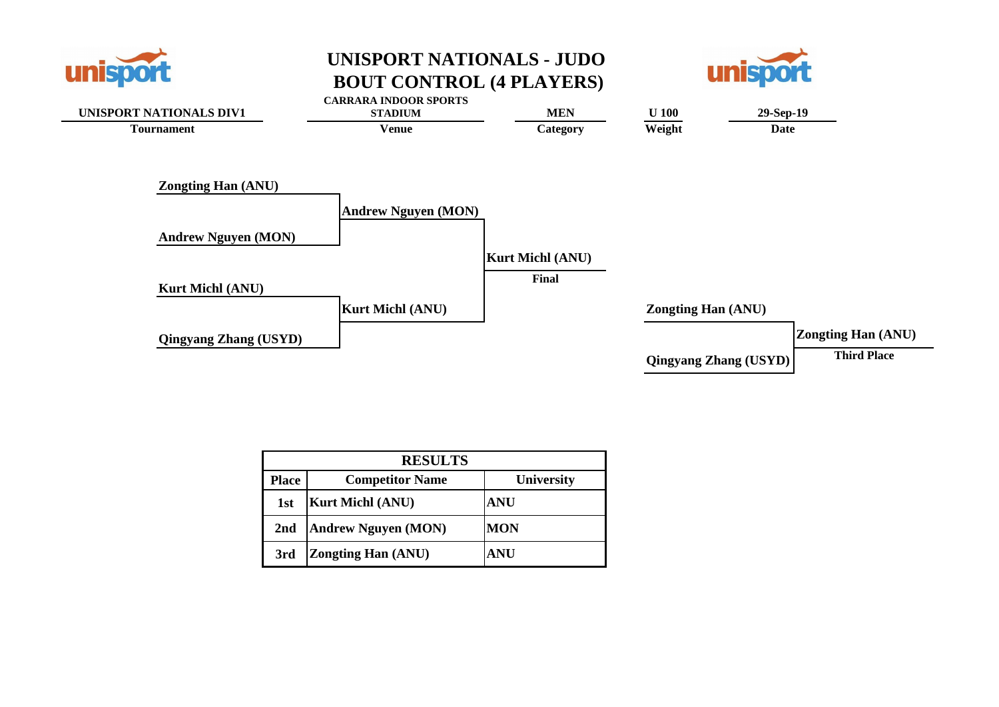





|              | <b>RESULTS</b>             |                   |  |  |  |  |  |
|--------------|----------------------------|-------------------|--|--|--|--|--|
| <b>Place</b> | <b>Competitor Name</b>     | <b>University</b> |  |  |  |  |  |
| 1st          | <b>Kurt Michl (ANU)</b>    | <b>ANU</b>        |  |  |  |  |  |
| 2nd          | <b>Andrew Nguyen (MON)</b> | <b>MON</b>        |  |  |  |  |  |
| 3rd          | <b>Zongting Han (ANU)</b>  | <b>ANU</b>        |  |  |  |  |  |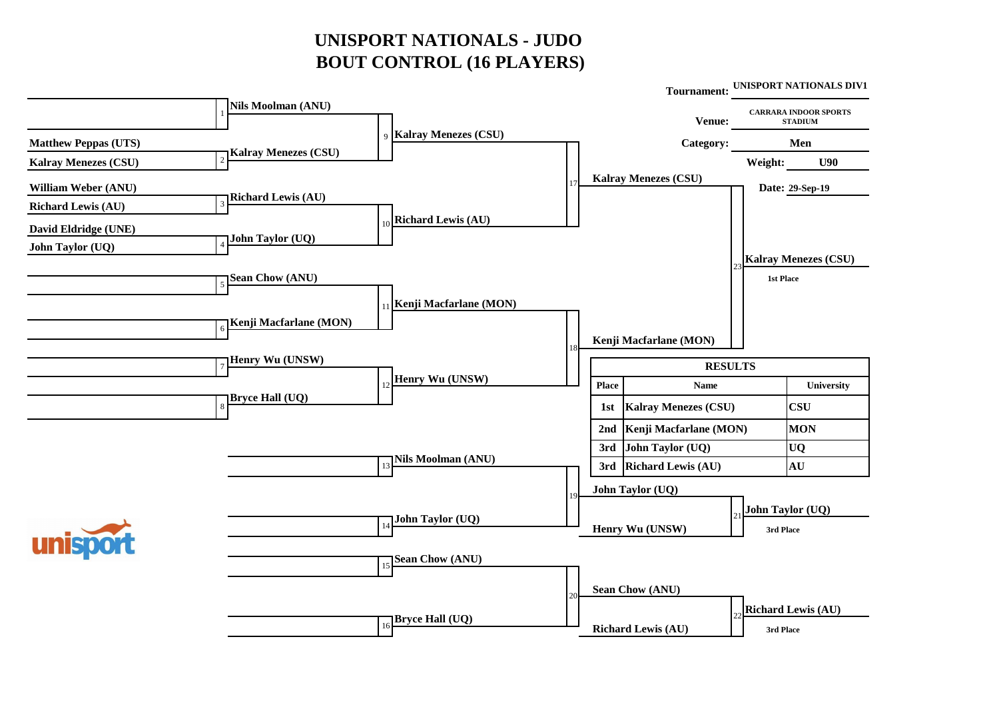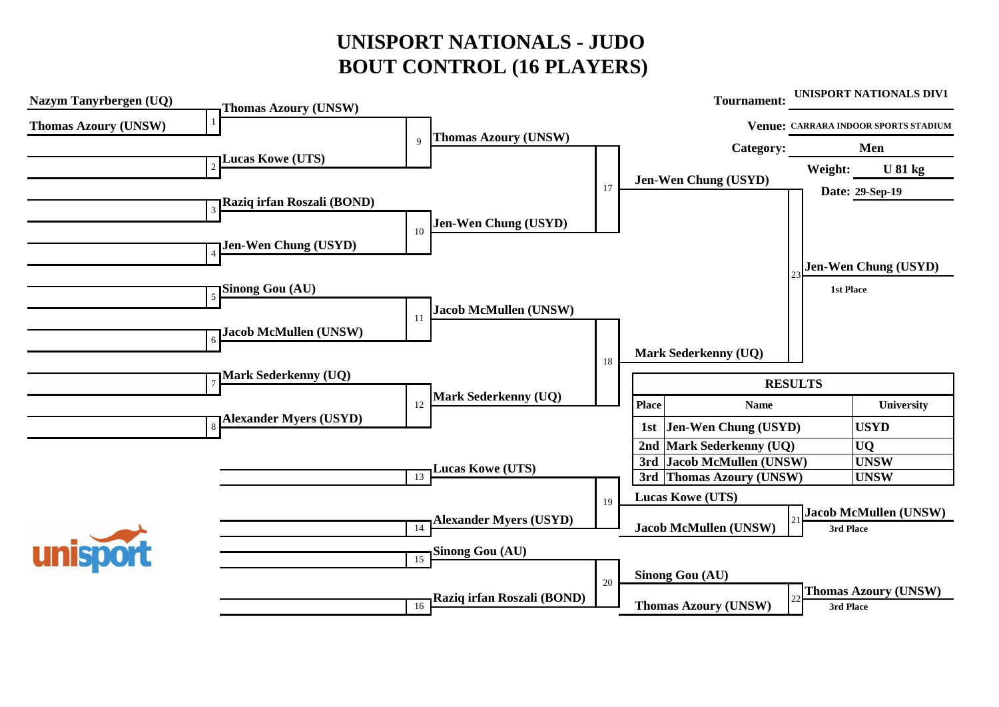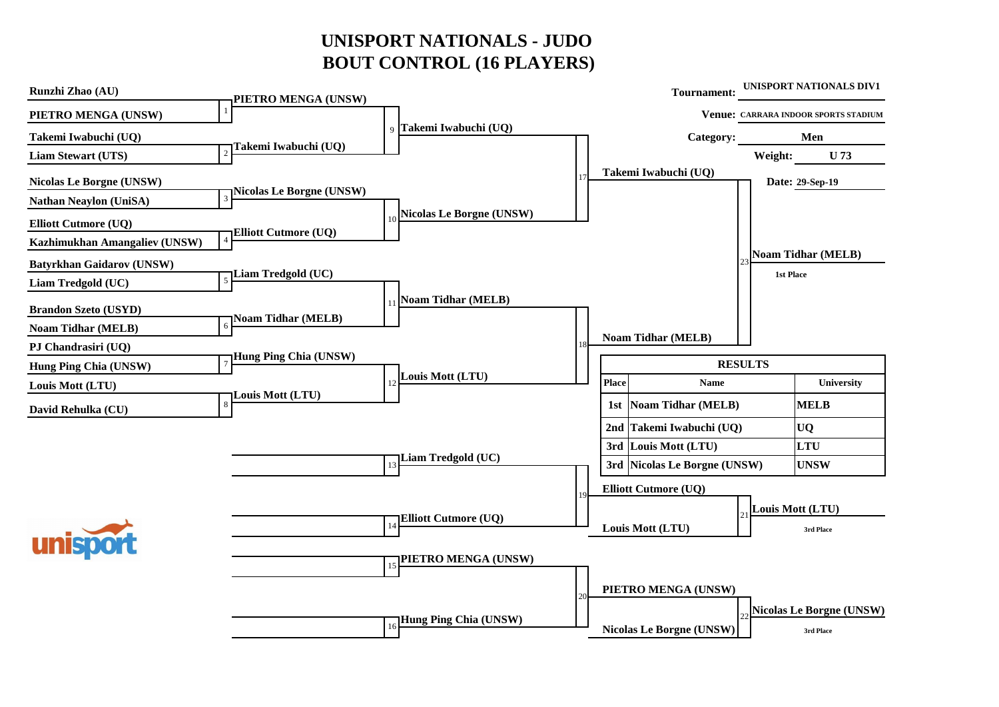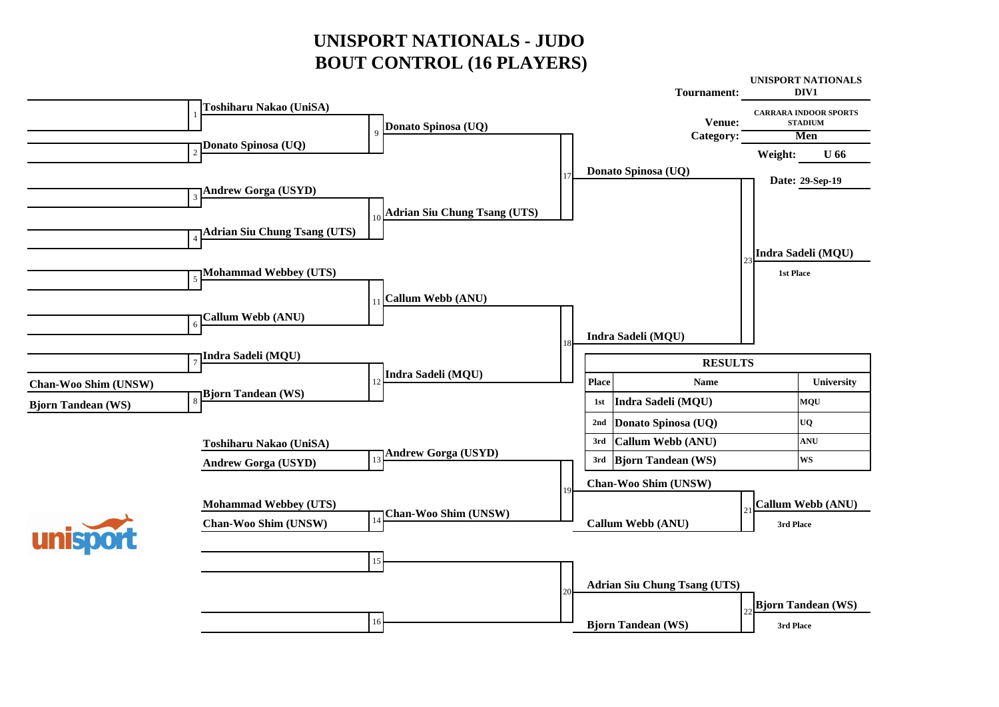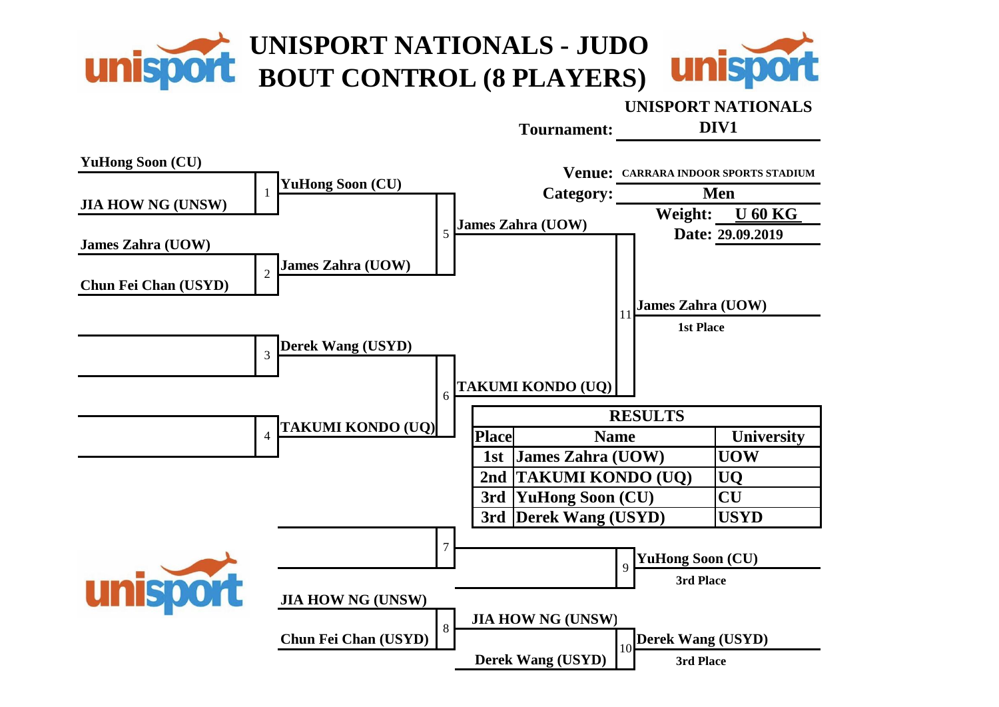![](_page_10_Picture_0.jpeg)

#### **UNISPORT NATIONALS**

**Tournament:**

**DIV1**

![](_page_10_Figure_4.jpeg)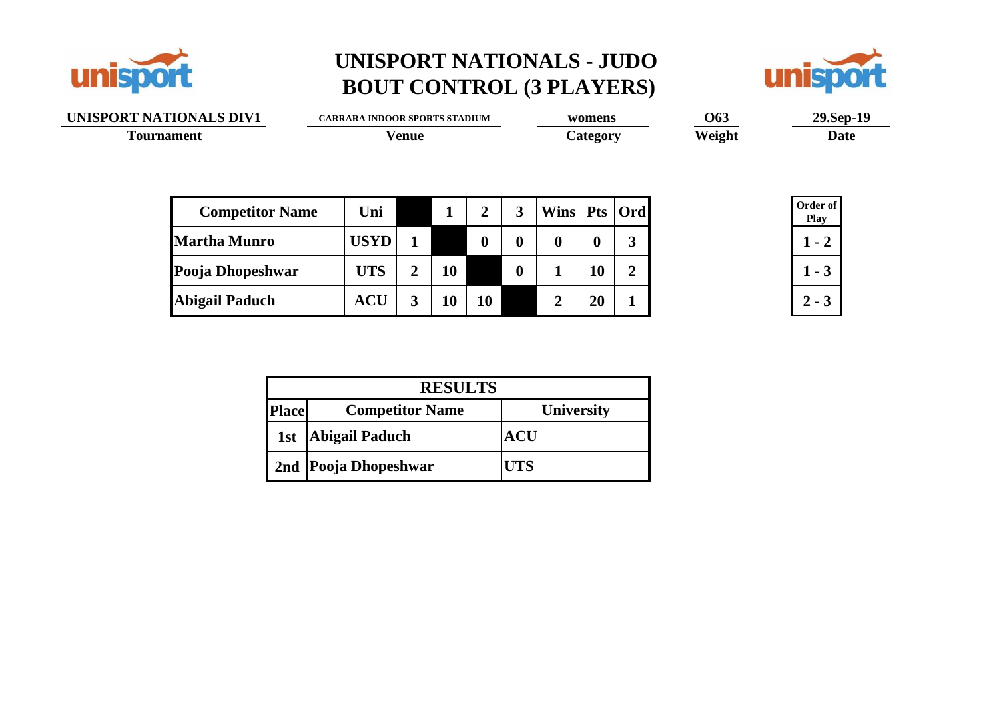![](_page_11_Picture_0.jpeg)

![](_page_11_Picture_2.jpeg)

| UNISPORT NATIONALS DIV1 |  | <b>CARRARA INDOOR SPORTS STADIUM</b> |                |    |                  |                  | womens           |                  |                | <b>O63</b> | 29.Sep-19 |             |  |
|-------------------------|--|--------------------------------------|----------------|----|------------------|------------------|------------------|------------------|----------------|------------|-----------|-------------|--|
| <b>Tournament</b>       |  | Venue                                |                |    |                  |                  | Category         |                  |                | Weight     |           | <b>Date</b> |  |
|                         |  |                                      |                |    |                  |                  |                  |                  |                |            |           |             |  |
|                         |  |                                      |                |    |                  |                  |                  |                  |                |            |           | Order of    |  |
| <b>Competitor Name</b>  |  | Uni                                  |                | -1 | $\overline{2}$   | 3                | Wins Pts   Ord   |                  |                |            |           | <b>Play</b> |  |
| <b>Martha Munro</b>     |  | <b>USYD</b>                          |                |    | $\boldsymbol{0}$ | $\boldsymbol{0}$ | $\boldsymbol{0}$ | $\boldsymbol{0}$ | 3              |            |           | $1 - 2$     |  |
| Pooja Dhopeshwar        |  | <b>UTS</b>                           | $\overline{2}$ | 10 |                  | $\boldsymbol{0}$ |                  | 10               | $\overline{2}$ |            |           | $1 - 3$     |  |
| <b>Abigail Paduch</b>   |  | <b>ACU</b>                           | 3              | 10 | <b>10</b>        |                  |                  | 20               |                |            |           | $2 - 3$     |  |
|                         |  |                                      |                |    |                  |                  |                  |                  |                |            |           |             |  |

| <b>RESULTS</b> |                        |            |  |  |  |  |  |
|----------------|------------------------|------------|--|--|--|--|--|
| <b>Place</b>   | <b>Competitor Name</b> | University |  |  |  |  |  |
| 1st            | <b>Abigail Paduch</b>  | ACU        |  |  |  |  |  |
|                | 2nd Pooja Dhopeshwar   | UTS        |  |  |  |  |  |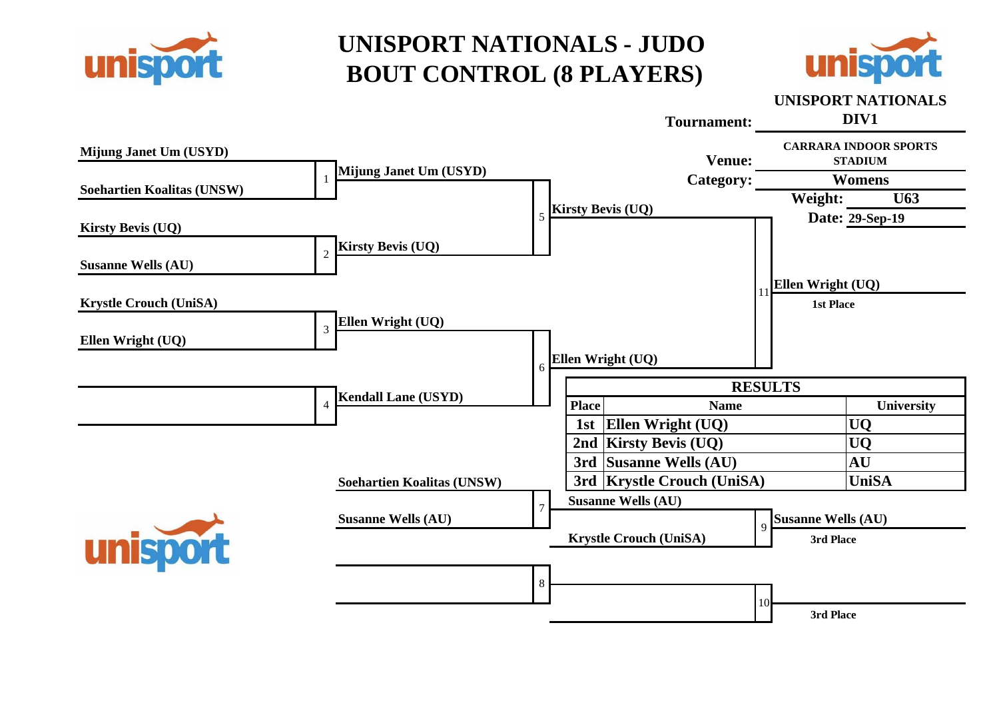![](_page_12_Picture_0.jpeg)

![](_page_12_Picture_2.jpeg)

#### **UNISPORT NATIONALS**

![](_page_12_Figure_4.jpeg)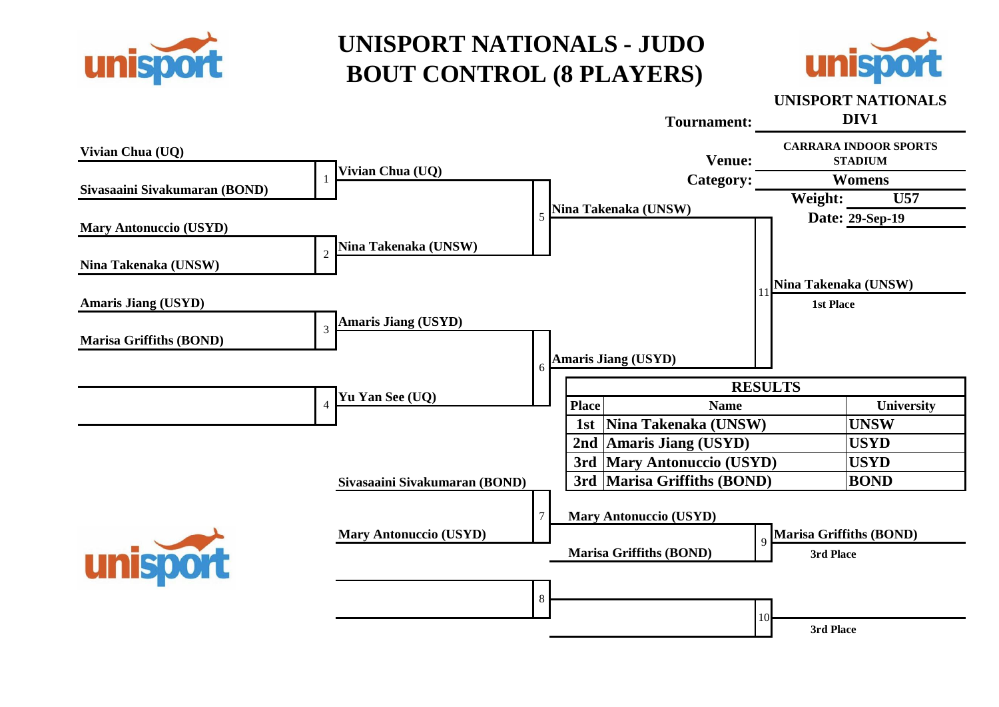![](_page_13_Picture_0.jpeg)

![](_page_13_Picture_2.jpeg)

#### **Tournament: Vivian Chua (UQ) UNISPORT NATIONALS DIV1 Venue: CARRARA INDOOR SPORTS STADIUM** 1 **Vivian Chua (UQ) Sivasaaini Sivakumaran (BOND) Category: Womens** 5 **Nina Takenaka (UNSW) Weight: U57 Mary Antonuccio (USYD) Date: 29-Sep-19** 11 **Nina Takenaka (UNSW)** <sup>2</sup> **Nina Takenaka (UNSW) Nina Takenaka (UNSW) Amaris Jiang (USYD) 1st Place Amaris Jiang (USYD)** <sup>3</sup> **Marisa Griffiths (BOND)** 6 **Amaris Jiang (USYD) Yu Yan See (UQ) RESULTS** 4 **Place Name Definitive COV Place Name Place Name Definitive Definitive Definitive Place Place Place Place Place Place Place Place Place Place Place Place Place Place Place 1st Nina Takenaka (UNSW) UNSW 2nd Amaris Jiang (USYD) USYD 3rd Mary Antonuccio (USYD) USYD Sivasaaini Sivakumaran (BOND) 3rd Marisa Griffiths (BOND) BOND** 7 **Mary Antonuccio (USYD) Mary Antonuccio (USYD)**<br>Marisa Griffiths (BOND) 9<br>Marisa Griffiths (BOND) 3rd Place **3rd Place Marisa Griffiths (BOND)** 8 10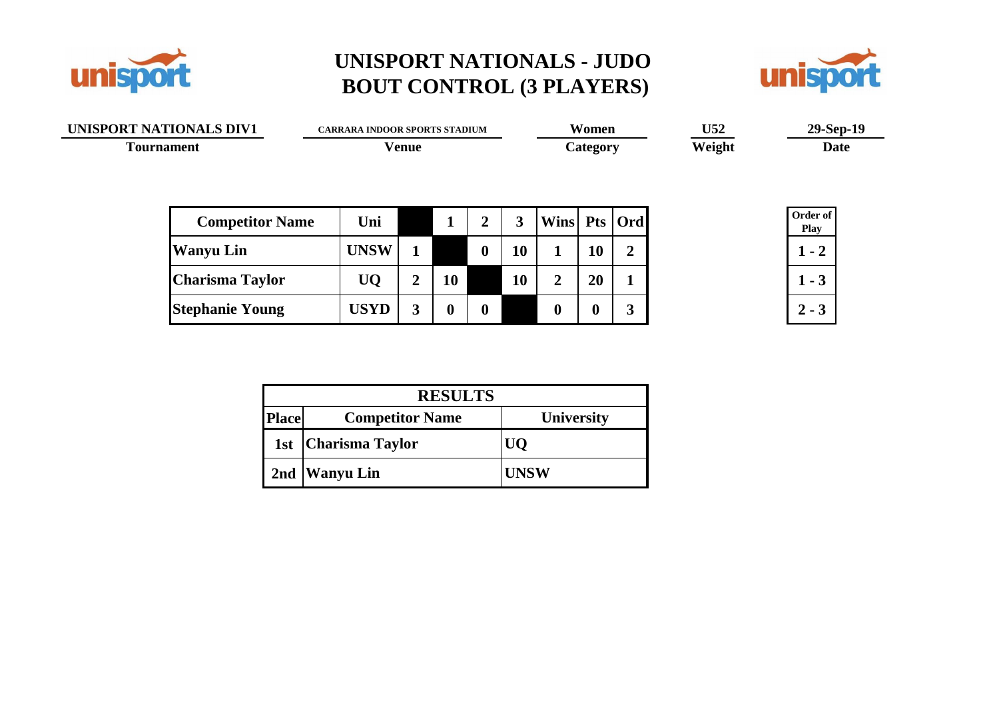![](_page_14_Picture_0.jpeg)

![](_page_14_Picture_2.jpeg)

| UNISPORT NATIONALS DIV1 | <b>CARRARA INDOOR SPORTS STADIUM</b> | Women    | U52    | $29-Sep-19$ |
|-------------------------|--------------------------------------|----------|--------|-------------|
| <b>Tournament</b>       | <b>Venue</b>                         | Category | Weight | Date        |
|                         |                                      |          |        |             |

| <b>Competitor Name</b> | Uni         |              |    | ◠                |    | Wins Pts   Ord |    |   |
|------------------------|-------------|--------------|----|------------------|----|----------------|----|---|
| <b>Wanyu Lin</b>       | <b>UNSW</b> |              |    | $\boldsymbol{0}$ | 10 |                | 10 | 2 |
| <b>Charisma Taylor</b> | UQ          | 车            | 10 |                  | 10 |                | 20 |   |
| <b>Stephanie Young</b> | <b>USYD</b> | $\mathbf{r}$ |    | $\bf{0}$         |    |                |    |   |

| Order of<br>Play |  |  |  |  |  |
|------------------|--|--|--|--|--|
| 2                |  |  |  |  |  |
|                  |  |  |  |  |  |
|                  |  |  |  |  |  |

|              | <b>RESULTS</b>         |                   |  |  |  |  |  |
|--------------|------------------------|-------------------|--|--|--|--|--|
| <b>Place</b> | <b>Competitor Name</b> | <b>University</b> |  |  |  |  |  |
|              | 1st   Charisma Taylor  | l 10 1            |  |  |  |  |  |
|              | 2nd   Wanyu Lin        | <b>UNSW</b>       |  |  |  |  |  |